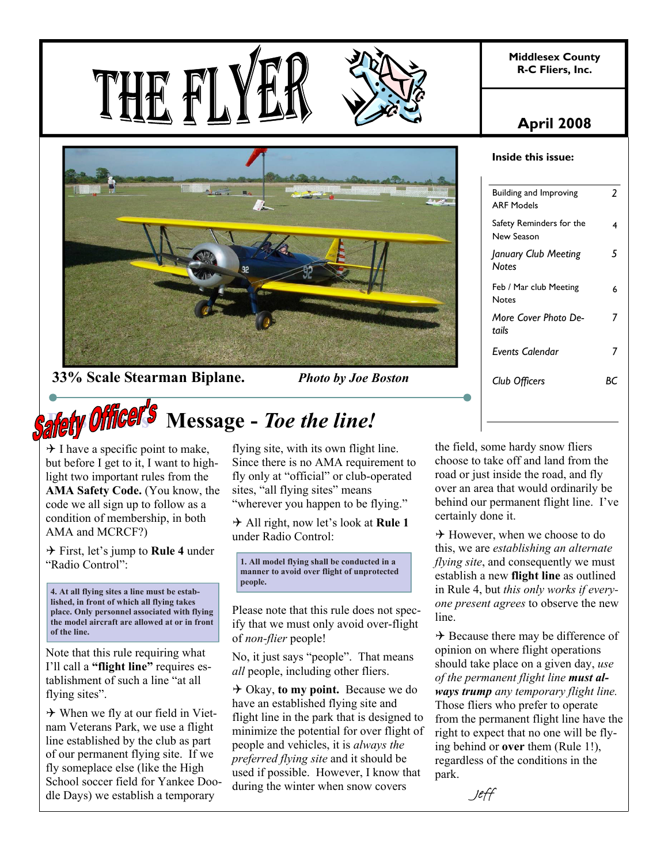**Middlesex County R-C Fliers, Inc.** 







**33% Scale Stearman Biplane.** *Photo by Joe Boston*

*Pricer's* Message - Toe the line!

 $\rightarrow$  I have a specific point to make, but before I get to it, I want to highlight two important rules from the **AMA Safety Code.** (You know, the code we all sign up to follow as a condition of membership, in both AMA and MCRCF?)

4 First, let's jump to **Rule 4** under "Radio Control":

**4. At all flying sites a line must be established, in front of which all flying takes place. Only personnel associated with flying the model aircraft are allowed at or in front of the line.**

Note that this rule requiring what I'll call a **"flight line"** requires establishment of such a line "at all flying sites".

 $\rightarrow$  When we fly at our field in Vietnam Veterans Park, we use a flight line established by the club as part of our permanent flying site. If we fly someplace else (like the High School soccer field for Yankee Doodle Days) we establish a temporary

flying site, with its own flight line. Since there is no AMA requirement to fly only at "official" or club-operated sites, "all flying sites" means "wherever you happen to be flying."

4 All right, now let's look at **Rule 1**  under Radio Control:

**1. All model flying shall be conducted in a manner to avoid over flight of unprotected people.**

Please note that this rule does not specify that we must only avoid over-flight of *non-flier* people!

No, it just says "people". That means *all* people, including other fliers.

4 Okay, **to my point.** Because we do have an established flying site and flight line in the park that is designed to minimize the potential for over flight of people and vehicles, it is *always the preferred flying site* and it should be used if possible. However, I know that during the winter when snow covers

# **April 2008**

#### **Inside this issue:**

| Building and Improving<br><b>ARF Models</b> | 2  |
|---------------------------------------------|----|
| Safety Reminders for the<br>New Season      | 4  |
| January Club Meeting<br><b>Notes</b>        | 5  |
| Feb / Mar club Meeting<br>Notes             | 6  |
| More Cover Photo De-<br>tails               |    |
| Events Calendar                             | 7  |
| Club Officers                               | RГ |
|                                             |    |

the field, some hardy snow fliers choose to take off and land from the road or just inside the road, and fly over an area that would ordinarily be behind our permanent flight line. I've certainly done it.

 $\rightarrow$  However, when we choose to do this, we are *establishing an alternate flying site*, and consequently we must establish a new **flight line** as outlined in Rule 4, but *this only works if everyone present agrees* to observe the new line.

 $\rightarrow$  Because there may be difference of opinion on where flight operations should take place on a given day, *use of the permanent flight line must always trump any temporary flight line.*  Those fliers who prefer to operate from the permanent flight line have the right to expect that no one will be flying behind or **over** them (Rule 1!), regardless of the conditions in the park.

Jeff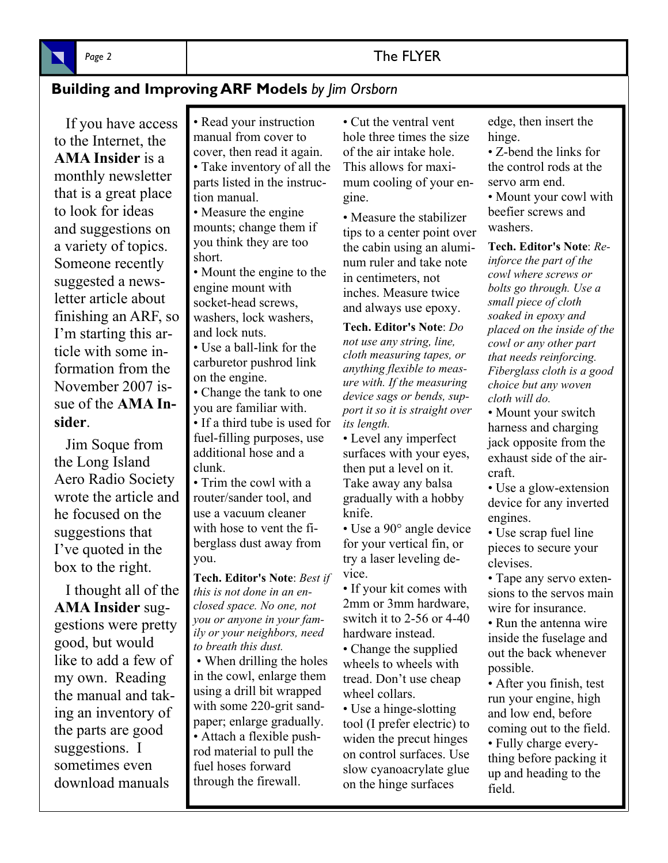

# Page 2 and 1 and 1 and 2 and 2 and 2 and 2 and 2 and 2 and 2 and 2 and 2 and 2 and 2 and 2 and 2 and 2 and 2 and 2 and 2 and 2 and 2 and 2 and 2 and 2 and 2 and 2 and 2 and 2 and 2 and 2 and 2 and 2 and 2 and 2 and 2 and 2

# **Building and Improving ARF Models** *by Jim Orsborn*

 If you have access to the Internet, the **AMA Insider** is a monthly newsletter that is a great place to look for ideas and suggestions on a variety of topics. Someone recently suggested a newsletter article about finishing an ARF, so I'm starting this article with some information from the November 2007 issue of the **AMA Insider**.

 Jim Soque from the Long Island Aero Radio Society wrote the article and he focused on the suggestions that I've quoted in the box to the right.

 I thought all of the **AMA Insider** suggestions were pretty good, but would like to add a few of my own. Reading the manual and taking an inventory of the parts are good suggestions. I sometimes even download manuals

• Read your instruction manual from cover to cover, then read it again.

• Take inventory of all the parts listed in the instruction manual.

• Measure the engine mounts; change them if you think they are too short.

• Mount the engine to the engine mount with socket-head screws, washers, lock washers, and lock nuts.

• Use a ball-link for the carburetor pushrod link on the engine.

• Change the tank to one you are familiar with.

• If a third tube is used for fuel-filling purposes, use additional hose and a clunk.

• Trim the cowl with a router/sander tool, and use a vacuum cleaner with hose to vent the fiberglass dust away from you.

**Tech. Editor's Note**: *Best if this is not done in an enclosed space. No one, not you or anyone in your family or your neighbors, need to breath this dust.*

• When drilling the holes in the cowl, enlarge them using a drill bit wrapped with some 220-grit sandpaper; enlarge gradually. • Attach a flexible pushrod material to pull the fuel hoses forward through the firewall.

• Cut the ventral vent hole three times the size of the air intake hole. This allows for maximum cooling of your engine.

• Measure the stabilizer tips to a center point over the cabin using an aluminum ruler and take note in centimeters, not inches. Measure twice and always use epoxy.

**Tech. Editor's Note**: *Do not use any string, line, cloth measuring tapes, or anything flexible to measure with. If the measuring device sags or bends, support it so it is straight over its length.*

• Level any imperfect surfaces with your eyes, then put a level on it. Take away any balsa gradually with a hobby knife.

• Use a 90° angle device for your vertical fin, or try a laser leveling device.

• If your kit comes with 2mm or 3mm hardware, switch it to 2-56 or 4-40 hardware instead.

• Change the supplied wheels to wheels with tread. Don't use cheap wheel collars.

• Use a hinge-slotting tool (I prefer electric) to widen the precut hinges on control surfaces. Use slow cyanoacrylate glue on the hinge surfaces

edge, then insert the hinge.

• Z-bend the links for the control rods at the servo arm end.

• Mount your cowl with beefier screws and washers.

**Tech. Editor's Note**: *Reinforce the part of the cowl where screws or bolts go through. Use a small piece of cloth soaked in epoxy and placed on the inside of the cowl or any other part that needs reinforcing. Fiberglass cloth is a good choice but any woven cloth will do.*

• Mount your switch harness and charging jack opposite from the exhaust side of the aircraft.

• Use a glow-extension device for any inverted engines.

• Use scrap fuel line pieces to secure your clevises.

• Tape any servo extensions to the servos main wire for insurance.

• Run the antenna wire inside the fuselage and out the back whenever possible.

• After you finish, test run your engine, high and low end, before coming out to the field. • Fully charge every-

thing before packing it up and heading to the field.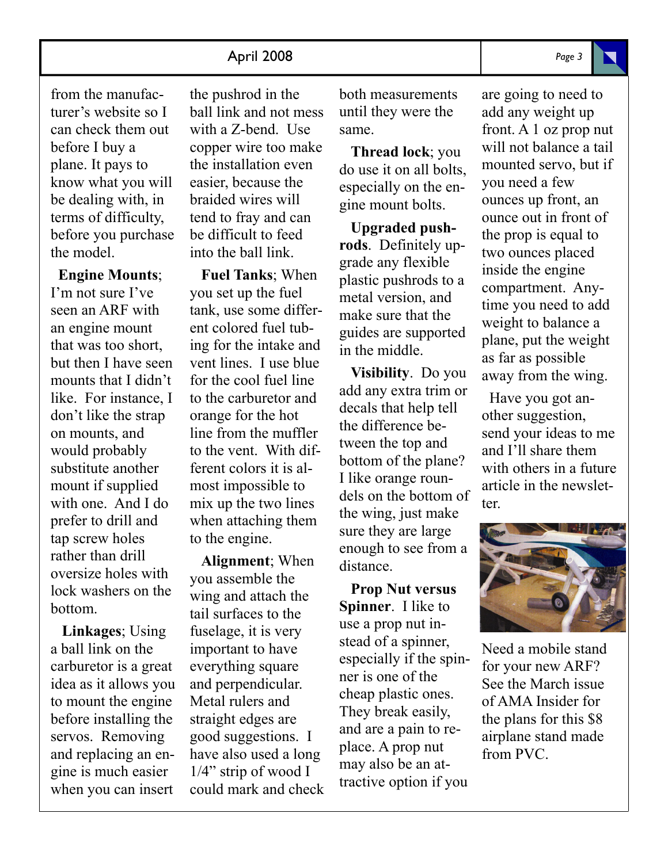## April 2008 *Page 3*

from the manufacturer's website so I can check them out before I buy a plane. It pays to know what you will be dealing with, in terms of difficulty, before you purchase the model.

 **Engine Mounts**; I'm not sure I've seen an ARF with an engine mount that was too short, but then I have seen mounts that I didn't like. For instance, I don't like the strap on mounts, and would probably substitute another mount if supplied with one. And I do prefer to drill and tap screw holes rather than drill oversize holes with lock washers on the bottom.

 **Linkages**; Using a ball link on the carburetor is a great idea as it allows you to mount the engine before installing the servos. Removing and replacing an engine is much easier when you can insert

the pushrod in the ball link and not mess with a Z-bend. Use copper wire too make the installation even easier, because the braided wires will tend to fray and can be difficult to feed into the ball link.

 **Fuel Tanks**; When you set up the fuel tank, use some different colored fuel tubing for the intake and vent lines. I use blue for the cool fuel line to the carburetor and orange for the hot line from the muffler to the vent. With different colors it is almost impossible to mix up the two lines when attaching them to the engine.

 **Alignment**; When you assemble the wing and attach the tail surfaces to the fuselage, it is very important to have everything square and perpendicular. Metal rulers and straight edges are good suggestions. I have also used a long 1/4" strip of wood I could mark and check both measurements until they were the same.

 **Thread lock**; you do use it on all bolts, especially on the engine mount bolts.

 **Upgraded pushrods**. Definitely upgrade any flexible plastic pushrods to a metal version, and make sure that the guides are supported in the middle.

 **Visibility**. Do you add any extra trim or decals that help tell the difference between the top and bottom of the plane? I like orange roundels on the bottom of the wing, just make sure they are large enough to see from a distance.

 **Prop Nut versus Spinner**. I like to use a prop nut instead of a spinner, especially if the spinner is one of the cheap plastic ones. They break easily, and are a pain to replace. A prop nut may also be an attractive option if you

are going to need to add any weight up front. A 1 oz prop nut will not balance a tail mounted servo, but if you need a few ounces up front, an ounce out in front of the prop is equal to two ounces placed inside the engine compartment. Anytime you need to add weight to balance a plane, put the weight as far as possible away from the wing.

 Have you got another suggestion, send your ideas to me and I'll share them with others in a future article in the newsletter.



Need a mobile stand for your new ARF? See the March issue of AMA Insider for the plans for this \$8 airplane stand made from PVC.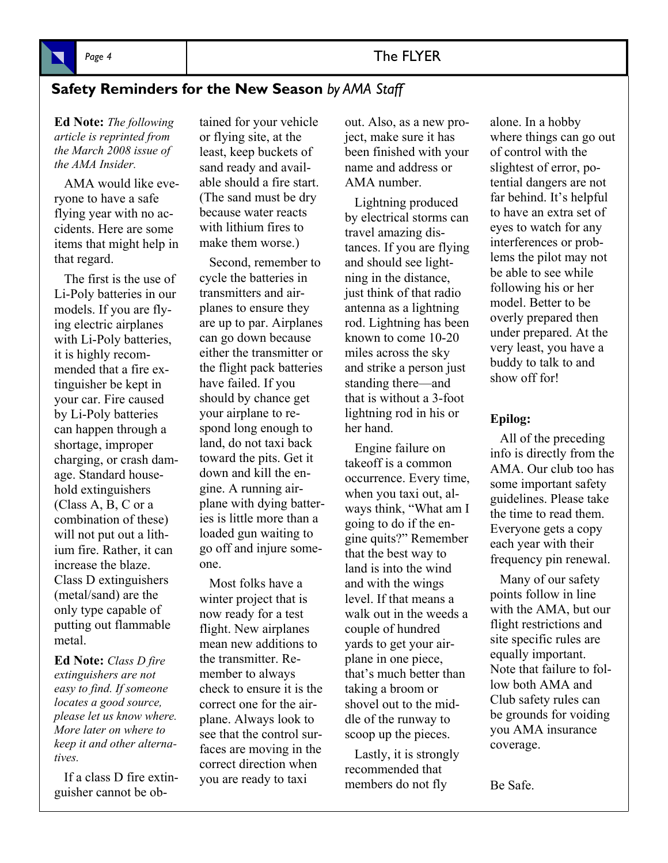# **Safety Reminders for the New Season** *by AMA Staff*

**Ed Note:** *The following article is reprinted from the March 2008 issue of the AMA Insider.*

 AMA would like everyone to have a safe flying year with no accidents. Here are some items that might help in that regard.

 The first is the use of Li-Poly batteries in our models. If you are flying electric airplanes with Li-Poly batteries, it is highly recommended that a fire extinguisher be kept in your car. Fire caused by Li-Poly batteries can happen through a shortage, improper charging, or crash damage. Standard household extinguishers (Class A, B, C or a combination of these) will not put out a lithium fire. Rather, it can increase the blaze. Class D extinguishers (metal/sand) are the only type capable of putting out flammable metal.

**Ed Note:** *Class D fire extinguishers are not easy to find. If someone locates a good source, please let us know where. More later on where to keep it and other alternatives.*

 If a class D fire extinguisher cannot be obtained for your vehicle or flying site, at the least, keep buckets of sand ready and available should a fire start. (The sand must be dry because water reacts with lithium fires to make them worse.)

 Second, remember to cycle the batteries in transmitters and airplanes to ensure they are up to par. Airplanes can go down because either the transmitter or the flight pack batteries have failed. If you should by chance get your airplane to respond long enough to land, do not taxi back toward the pits. Get it down and kill the engine. A running airplane with dying batteries is little more than a loaded gun waiting to go off and injure someone.

 Most folks have a winter project that is now ready for a test flight. New airplanes mean new additions to the transmitter. Remember to always check to ensure it is the correct one for the airplane. Always look to see that the control surfaces are moving in the correct direction when you are ready to taxi

out. Also, as a new project, make sure it has been finished with your name and address or AMA number.

 Lightning produced by electrical storms can travel amazing distances. If you are flying and should see lightning in the distance, just think of that radio antenna as a lightning rod. Lightning has been known to come 10-20 miles across the sky and strike a person just standing there—and that is without a 3-foot lightning rod in his or her hand.

 Engine failure on takeoff is a common occurrence. Every time, when you taxi out, always think, "What am I going to do if the engine quits?" Remember that the best way to land is into the wind and with the wings level. If that means a walk out in the weeds a couple of hundred yards to get your airplane in one piece, that's much better than taking a broom or shovel out to the middle of the runway to scoop up the pieces.

 Lastly, it is strongly recommended that members do not fly

alone. In a hobby where things can go out of control with the slightest of error, potential dangers are not far behind. It's helpful to have an extra set of eyes to watch for any interferences or problems the pilot may not be able to see while following his or her model. Better to be overly prepared then under prepared. At the very least, you have a buddy to talk to and show off for!

#### **Epilog:**

 All of the preceding info is directly from the AMA. Our club too has some important safety guidelines. Please take the time to read them. Everyone gets a copy each year with their frequency pin renewal.

 Many of our safety points follow in line with the AMA, but our flight restrictions and site specific rules are equally important. Note that failure to follow both AMA and Club safety rules can be grounds for voiding you AMA insurance coverage.

Be Safe.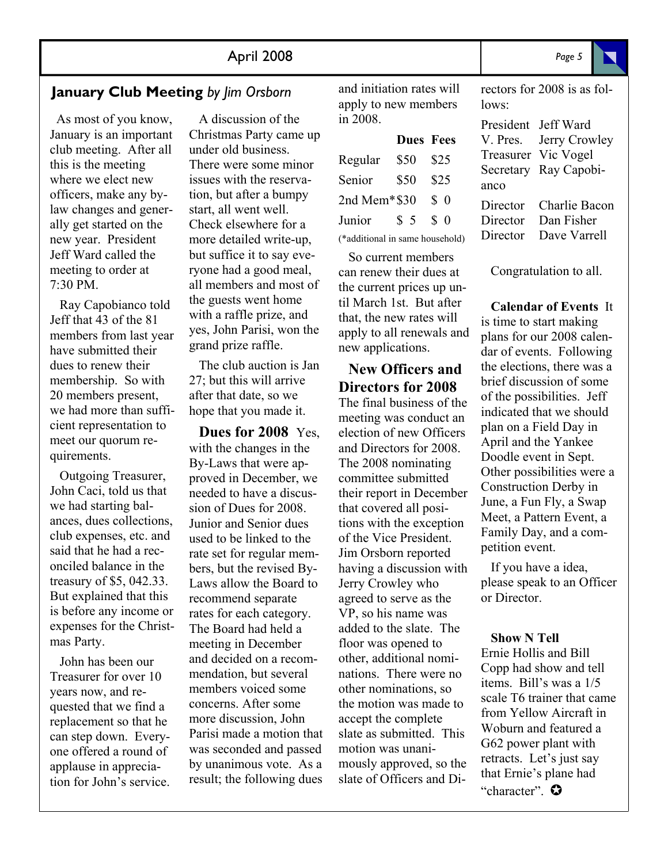# **January Club Meeting** by *lim Orsborn* and initiation rates will rectors for 2008 is as fol-

 As most of you know, January is an important club meeting. After all this is the meeting where we elect new officers, make any bylaw changes and generally get started on the new year. President Jeff Ward called the meeting to order at 7:30 PM.

 Ray Capobianco told Jeff that 43 of the 81 members from last year have submitted their dues to renew their membership. So with 20 members present, we had more than sufficient representation to meet our quorum requirements.

 Outgoing Treasurer, John Caci, told us that we had starting balances, dues collections, club expenses, etc. and said that he had a reconciled balance in the treasury of \$5, 042.33. But explained that this is before any income or expenses for the Christmas Party.

 John has been our Treasurer for over 10 years now, and requested that we find a replacement so that he can step down. Everyone offered a round of applause in appreciation for John's service.

 A discussion of the Christmas Party came up under old business. There were some minor issues with the reservation, but after a bumpy start, all went well. Check elsewhere for a more detailed write-up, but suffice it to say everyone had a good meal, all members and most of the guests went home with a raffle prize, and yes, John Parisi, won the grand prize raffle.

 The club auction is Jan 27; but this will arrive after that date, so we hope that you made it.

 **Dues for 2008** Yes, with the changes in the By-Laws that were approved in December, we needed to have a discussion of Dues for 2008. Junior and Senior dues used to be linked to the rate set for regular members, but the revised By-Laws allow the Board to recommend separate rates for each category. The Board had held a meeting in December and decided on a recommendation, but several members voiced some concerns. After some more discussion, John Parisi made a motion that was seconded and passed by unanimous vote. As a result; the following dues

and initiation rates will apply to new members in 2008.

|                                 | <b>Dues</b> Fees |               |
|---------------------------------|------------------|---------------|
| Regular                         | \$50             | \$25          |
| Senior                          | \$50             | \$25          |
| 2nd Mem*\$30                    |                  | $\frac{1}{2}$ |
| Junior                          | \$5              | $\Omega$      |
| (*additional in same household) |                  |               |

 So current members can renew their dues at the current prices up until March 1st. But after that, the new rates will apply to all renewals and new applications.

## **New Officers and Directors for 2008**

The final business of the meeting was conduct an election of new Officers and Directors for 2008. The 2008 nominating committee submitted their report in December that covered all positions with the exception of the Vice President. Jim Orsborn reported having a discussion with Jerry Crowley who agreed to serve as the VP, so his name was added to the slate. The floor was opened to other, additional nominations. There were no other nominations, so the motion was made to accept the complete slate as submitted. This motion was unanimously approved, so the slate of Officers and Dilows:

| President | Jeff Ward             |
|-----------|-----------------------|
| V. Pres.  | Jerry Crowley         |
| Treasurer | Vic Vogel             |
|           | Secretary Ray Capobi- |
| anco      |                       |
| Director  | Charlie Bacon         |
| Director  | Dan Fisher            |
| Director  | Dave Varrell          |
|           |                       |

Congratulation to all.

 **Calendar of Events** It is time to start making plans for our 2008 calendar of events. Following the elections, there was a brief discussion of some of the possibilities. Jeff indicated that we should plan on a Field Day in April and the Yankee Doodle event in Sept. Other possibilities were a Construction Derby in June, a Fun Fly, a Swap Meet, a Pattern Event, a Family Day, and a competition event.

 If you have a idea, please speak to an Officer or Director.

 **Show N Tell** Ernie Hollis and Bill Copp had show and tell items. Bill's was a 1/5 scale T6 trainer that came from Yellow Aircraft in Woburn and featured a G62 power plant with retracts. Let's just say that Ernie's plane had "character". ✪

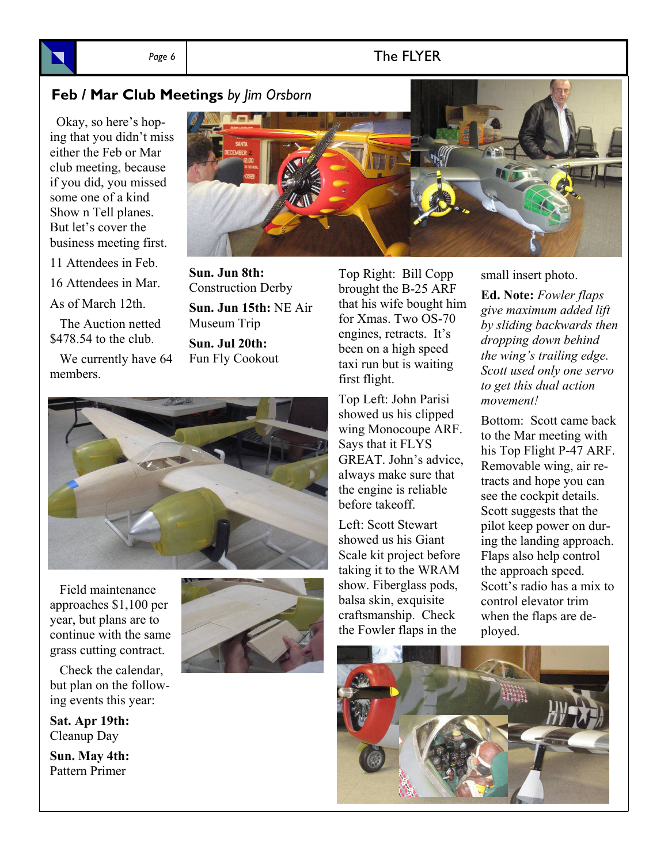## Page 6 **The FLYER**

## **Feb / Mar Club Meetings** *by Jim Orsborn*

 Okay, so here's hoping that you didn't miss either the Feb or Mar club meeting, because if you did, you missed some one of a kind Show n Tell planes. But let's cover the business meeting first.

11 Attendees in Feb.

16 Attendees in Mar.

As of March 12th.

 The Auction netted \$478.54 to the club.

 We currently have 64 members.

**Sun. Jun 8th:**  Construction Derby **Sun. Jun 15th:** NE Air Museum Trip **Sun. Jul 20th:**  Fun Fly Cookout

Top Right: Bill Copp brought the B-25 ARF that his wife bought him for Xmas. Two OS-70 engines, retracts. It's been on a high speed taxi run but is waiting first flight.

Top Left: John Parisi showed us his clipped wing Monocoupe ARF. Says that it FLYS GREAT. John's advice, always make sure that the engine is reliable before takeoff.

Left: Scott Stewart showed us his Giant Scale kit project before taking it to the WRAM show. Fiberglass pods, balsa skin, exquisite craftsmanship. Check the Fowler flaps in the

small insert photo.

**Ed. Note:** *Fowler flaps give maximum added lift by sliding backwards then dropping down behind the wing's trailing edge. Scott used only one servo to get this dual action movement!*

Bottom: Scott came back to the Mar meeting with his Top Flight P-47 ARF. Removable wing, air retracts and hope you can see the cockpit details. Scott suggests that the pilot keep power on during the landing approach. Flaps also help control the approach speed. Scott's radio has a mix to control elevator trim when the flaps are deployed.





 Field maintenance approaches \$1,100 per year, but plans are to continue with the same grass cutting contract.

 Check the calendar, but plan on the following events this year:

**Sat. Apr 19th:**  Cleanup Day

**Sun. May 4th:**  Pattern Primer

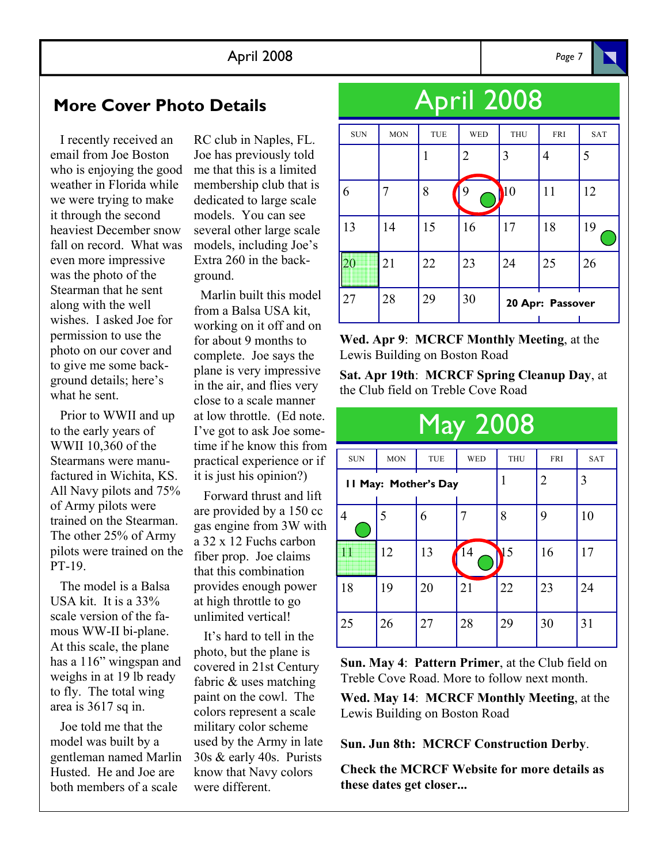# **More Cover Photo Details**

 I recently received an email from Joe Boston who is enjoying the good weather in Florida while we were trying to make it through the second heaviest December snow fall on record. What was even more impressive was the photo of the Stearman that he sent along with the well wishes. I asked Joe for permission to use the photo on our cover and to give me some background details; here's what he sent.

 Prior to WWII and up to the early years of WWII 10,360 of the Stearmans were manufactured in Wichita, KS. All Navy pilots and 75% of Army pilots were trained on the Stearman. The other 25% of Army pilots were trained on the PT-19.

 The model is a Balsa USA kit. It is a 33% scale version of the famous WW-II bi-plane. At this scale, the plane has a 116" wingspan and weighs in at 19 lb ready to fly. The total wing area is 3617 sq in.

 Joe told me that the model was built by a gentleman named Marlin Husted. He and Joe are both members of a scale

RC club in Naples, FL. Joe has previously told me that this is a limited membership club that is dedicated to large scale models. You can see several other large scale models, including Joe's Extra 260 in the background.

 Marlin built this model from a Balsa USA kit, working on it off and on for about 9 months to complete. Joe says the plane is very impressive in the air, and flies very close to a scale manner at low throttle. (Ed note. I've got to ask Joe sometime if he know this from practical experience or if it is just his opinion?)

 Forward thrust and lift are provided by a 150 cc gas engine from 3W with a 32 x 12 Fuchs carbon fiber prop. Joe claims that this combination provides enough power at high throttle to go unlimited vertical!

 It's hard to tell in the photo, but the plane is covered in 21st Century fabric & uses matching paint on the cowl. The colors represent a scale military color scheme used by the Army in late 30s & early 40s. Purists know that Navy colors were different.

| April 2008 |            |            |            |                  |            |     |
|------------|------------|------------|------------|------------------|------------|-----|
| <b>SUN</b> | <b>MON</b> | <b>TUE</b> | <b>WED</b> | <b>THU</b>       | <b>FRI</b> | SAT |
|            |            | 1          | 2          | 3                | 4          | 5   |
| 6          | 7          | 8          | 9          | $\mathbf{10}$    | 11         | 12  |
| 13         | 14         | 15         | 16         | 17               | 18         | 19  |
| 20         | 21         | 22         | 23         | 24               | 25         | 26  |
| 27         | 28         | 29         | 30         | 20 Apr: Passover |            |     |

**Wed. Apr 9**: **MCRCF Monthly Meeting**, at the Lewis Building on Boston Road

**Sat. Apr 19th**: **MCRCF Spring Cleanup Day**, at the Club field on Treble Cove Road

| <b>May 2008</b>      |            |     |            |            |            |            |
|----------------------|------------|-----|------------|------------|------------|------------|
| <b>SUN</b>           | <b>MON</b> | TUE | <b>WED</b> | <b>THU</b> | <b>FRI</b> | <b>SAT</b> |
| II May: Mother's Day |            |     | 1          | 2          | 3          |            |
| $\overline{4}$       | 5          | 6   | 7          | 8          | 9          | 10         |
| ▥                    | 12         | 13  | 14         | 15         | 16         | 17         |
| 18                   | 19         | 20  | 21         | 22         | 23         | 24         |
| 25                   | 26         | 27  | 28         | 29         | 30         | 31         |

**Sun. May 4**: **Pattern Primer**, at the Club field on Treble Cove Road. More to follow next month.

**Wed. May 14**: **MCRCF Monthly Meeting**, at the Lewis Building on Boston Road

**Sun. Jun 8th: MCRCF Construction Derby**.

**Check the MCRCF Website for more details as these dates get closer...**